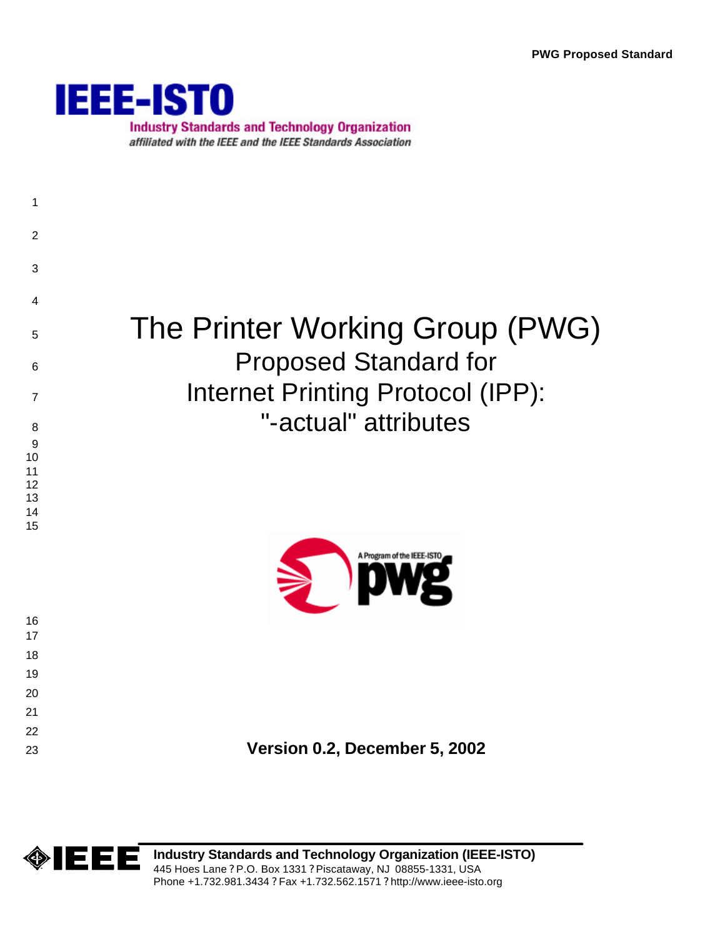



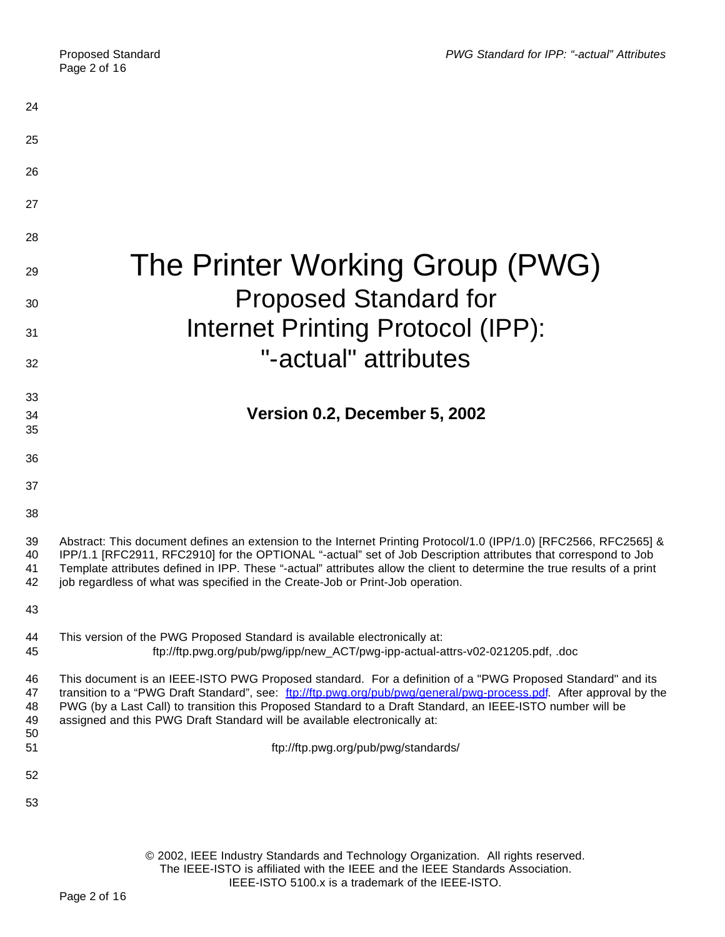| 24                         |                                                                                                                                                                                                                                                                                                                                                                                                                                                   |
|----------------------------|---------------------------------------------------------------------------------------------------------------------------------------------------------------------------------------------------------------------------------------------------------------------------------------------------------------------------------------------------------------------------------------------------------------------------------------------------|
| 25                         |                                                                                                                                                                                                                                                                                                                                                                                                                                                   |
| 26                         |                                                                                                                                                                                                                                                                                                                                                                                                                                                   |
| 27                         |                                                                                                                                                                                                                                                                                                                                                                                                                                                   |
| 28                         |                                                                                                                                                                                                                                                                                                                                                                                                                                                   |
| 29                         | The Printer Working Group (PWG)                                                                                                                                                                                                                                                                                                                                                                                                                   |
| 30                         | <b>Proposed Standard for</b>                                                                                                                                                                                                                                                                                                                                                                                                                      |
| 31                         | Internet Printing Protocol (IPP):                                                                                                                                                                                                                                                                                                                                                                                                                 |
| 32                         | "-actual" attributes                                                                                                                                                                                                                                                                                                                                                                                                                              |
| 33<br>34<br>35             | Version 0.2, December 5, 2002                                                                                                                                                                                                                                                                                                                                                                                                                     |
| 36                         |                                                                                                                                                                                                                                                                                                                                                                                                                                                   |
| 37                         |                                                                                                                                                                                                                                                                                                                                                                                                                                                   |
| 38                         |                                                                                                                                                                                                                                                                                                                                                                                                                                                   |
| 39<br>40<br>41<br>42       | Abstract: This document defines an extension to the Internet Printing Protocol/1.0 (IPP/1.0) [RFC2566, RFC2565] &<br>IPP/1.1 [RFC2911, RFC2910] for the OPTIONAL "-actual" set of Job Description attributes that correspond to Job<br>Template attributes defined in IPP. These "-actual" attributes allow the client to determine the true results of a print<br>job regardless of what was specified in the Create-Job or Print-Job operation. |
| 43                         |                                                                                                                                                                                                                                                                                                                                                                                                                                                   |
| 44<br>45                   | This version of the PWG Proposed Standard is available electronically at:<br>ftp://ftp.pwg.org/pub/pwg/ipp/new_ACT/pwg-ipp-actual-attrs-v02-021205.pdf, .doc                                                                                                                                                                                                                                                                                      |
| 46<br>47<br>48<br>49<br>50 | This document is an IEEE-ISTO PWG Proposed standard. For a definition of a "PWG Proposed Standard" and its<br>transition to a "PWG Draft Standard", see: ftp://ftp.pwg.org/pub/pwg/general/pwg-process.pdf. After approval by the<br>PWG (by a Last Call) to transition this Proposed Standard to a Draft Standard, an IEEE-ISTO number will be<br>assigned and this PWG Draft Standard will be available electronically at:                      |
| 51                         | ftp://ftp.pwg.org/pub/pwg/standards/                                                                                                                                                                                                                                                                                                                                                                                                              |
| 52                         |                                                                                                                                                                                                                                                                                                                                                                                                                                                   |
| 53                         |                                                                                                                                                                                                                                                                                                                                                                                                                                                   |
|                            | © 2002. IEEE Industry Standards and Technology Organization. All rights reserved                                                                                                                                                                                                                                                                                                                                                                  |

© 2002, IEEE Industry Standards and Technology Organization. All rights reserved. The IEEE-ISTO is affiliated with the IEEE and the IEEE Standards Association. IEEE-ISTO 5100.x is a trademark of the IEEE-ISTO.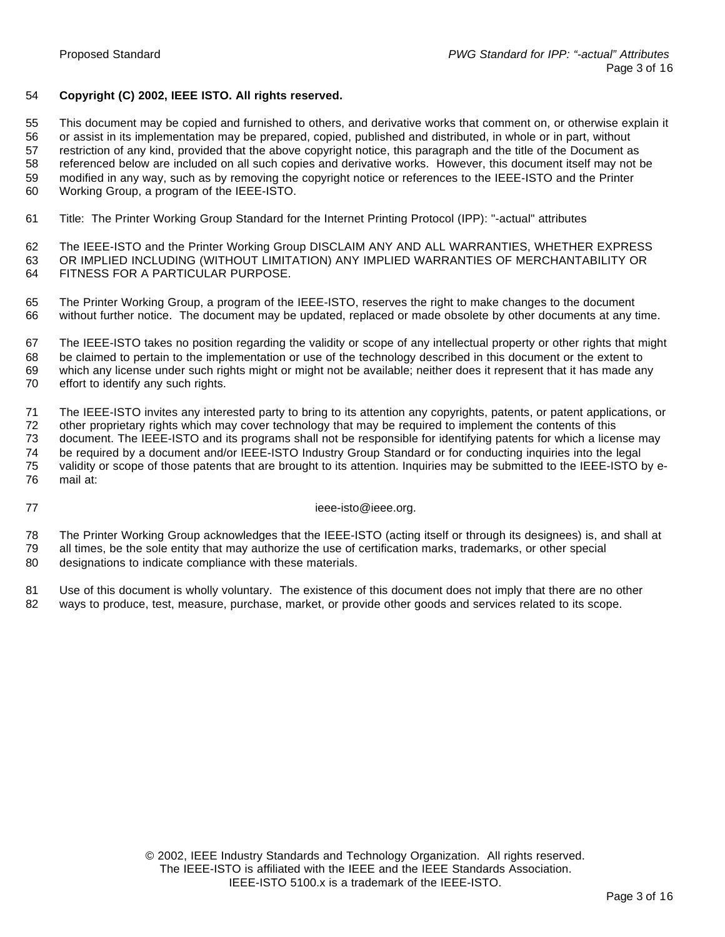#### **Copyright (C) 2002, IEEE ISTO. All rights reserved.**

 This document may be copied and furnished to others, and derivative works that comment on, or otherwise explain it or assist in its implementation may be prepared, copied, published and distributed, in whole or in part, without restriction of any kind, provided that the above copyright notice, this paragraph and the title of the Document as referenced below are included on all such copies and derivative works. However, this document itself may not be modified in any way, such as by removing the copyright notice or references to the IEEE-ISTO and the Printer Working Group, a program of the IEEE-ISTO.

Title: The Printer Working Group Standard for the Internet Printing Protocol (IPP): "-actual" attributes

 The IEEE-ISTO and the Printer Working Group DISCLAIM ANY AND ALL WARRANTIES, WHETHER EXPRESS OR IMPLIED INCLUDING (WITHOUT LIMITATION) ANY IMPLIED WARRANTIES OF MERCHANTABILITY OR FITNESS FOR A PARTICULAR PURPOSE.

 The Printer Working Group, a program of the IEEE-ISTO, reserves the right to make changes to the document without further notice. The document may be updated, replaced or made obsolete by other documents at any time.

 The IEEE-ISTO takes no position regarding the validity or scope of any intellectual property or other rights that might be claimed to pertain to the implementation or use of the technology described in this document or the extent to which any license under such rights might or might not be available; neither does it represent that it has made any effort to identify any such rights.

The IEEE-ISTO invites any interested party to bring to its attention any copyrights, patents, or patent applications, or

other proprietary rights which may cover technology that may be required to implement the contents of this

document. The IEEE-ISTO and its programs shall not be responsible for identifying patents for which a license may

- be required by a document and/or IEEE-ISTO Industry Group Standard or for conducting inquiries into the legal validity or scope of those patents that are brought to its attention. Inquiries may be submitted to the IEEE-ISTO by e-mail at:
- 

#### 77 ieee-isto@ieee.org.

 The Printer Working Group acknowledges that the IEEE-ISTO (acting itself or through its designees) is, and shall at all times, be the sole entity that may authorize the use of certification marks, trademarks, or other special designations to indicate compliance with these materials.

 Use of this document is wholly voluntary. The existence of this document does not imply that there are no other ways to produce, test, measure, purchase, market, or provide other goods and services related to its scope.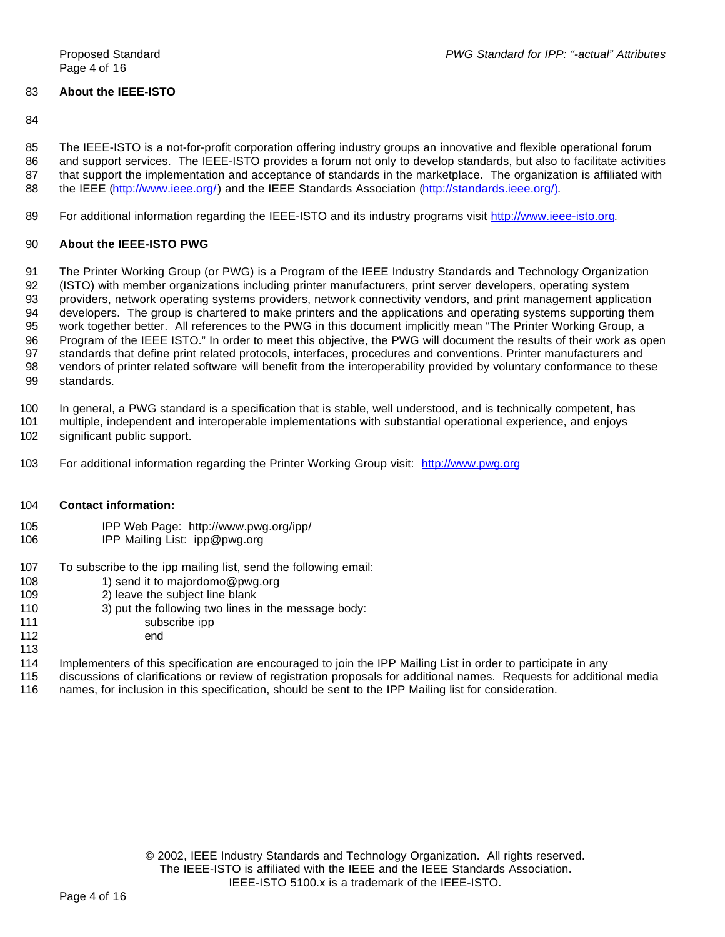#### **About the IEEE-ISTO**

 The IEEE-ISTO is a not-for-profit corporation offering industry groups an innovative and flexible operational forum 86 and support services. The IEEE-ISTO provides a forum not only to develop standards, but also to facilitate activities 87 that support the implementation and acceptance of standards in the marketplace. The organization is affiliated with 88 the IEEE (http://www.ieee.org/) and the IEEE Standards Association (http://standards.ieee.org/).

For additional information regarding the IEEE-ISTO and its industry programs visit http://www.ieee-isto.org.

#### **About the IEEE-ISTO PWG**

 The Printer Working Group (or PWG) is a Program of the IEEE Industry Standards and Technology Organization (ISTO) with member organizations including printer manufacturers, print server developers, operating system providers, network operating systems providers, network connectivity vendors, and print management application developers. The group is chartered to make printers and the applications and operating systems supporting them work together better. All references to the PWG in this document implicitly mean "The Printer Working Group, a Program of the IEEE ISTO." In order to meet this objective, the PWG will document the results of their work as open standards that define print related protocols, interfaces, procedures and conventions. Printer manufacturers and vendors of printer related software will benefit from the interoperability provided by voluntary conformance to these standards.

In general, a PWG standard is a specification that is stable, well understood, and is technically competent, has

- multiple, independent and interoperable implementations with substantial operational experience, and enjoys significant public support.
- For additional information regarding the Printer Working Group visit: http://www.pwg.org

#### **Contact information:**

- IPP Web Page: http://www.pwg.org/ipp/
- IPP Mailing List: ipp@pwg.org
- To subscribe to the ipp mailing list, send the following email:
- 108 1) send it to majordomo@pwg.org
- 2) leave the subject line blank
- 3) put the following two lines in the message body:
- 111 subscribe ipp
- end
- Implementers of this specification are encouraged to join the IPP Mailing List in order to participate in any
- discussions of clarifications or review of registration proposals for additional names. Requests for additional media
- names, for inclusion in this specification, should be sent to the IPP Mailing list for consideration.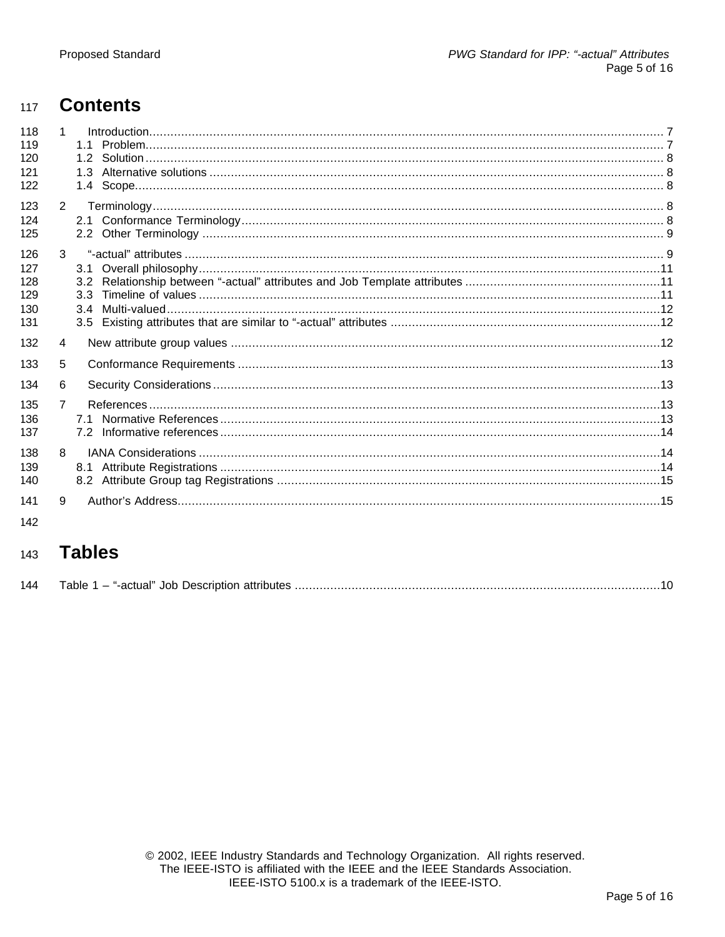#### **Contents** 117

| 118 |                |               |  |
|-----|----------------|---------------|--|
| 119 |                |               |  |
| 120 |                | 1.2           |  |
| 121 |                | 1.3           |  |
| 122 |                | 1.4           |  |
| 123 | 2              |               |  |
| 124 |                | 2.1           |  |
| 125 |                | $2.2^{\circ}$ |  |
|     |                |               |  |
| 126 | 3              |               |  |
| 127 |                | 3.1           |  |
| 128 |                | 3.2           |  |
| 129 |                | 3.3           |  |
| 130 |                | 3.4           |  |
| 131 |                | 3.5           |  |
| 132 | 4              |               |  |
| 133 | 5              |               |  |
| 134 | 6              |               |  |
| 135 | $\overline{7}$ |               |  |
| 136 |                | 71            |  |
| 137 |                | 72            |  |
|     |                |               |  |
| 138 | 8              |               |  |
| 139 |                | 8.1           |  |
| 140 |                | 8.2           |  |
| 141 | 9              |               |  |

#### 142

#### **Tables** 143

|--|--|--|--|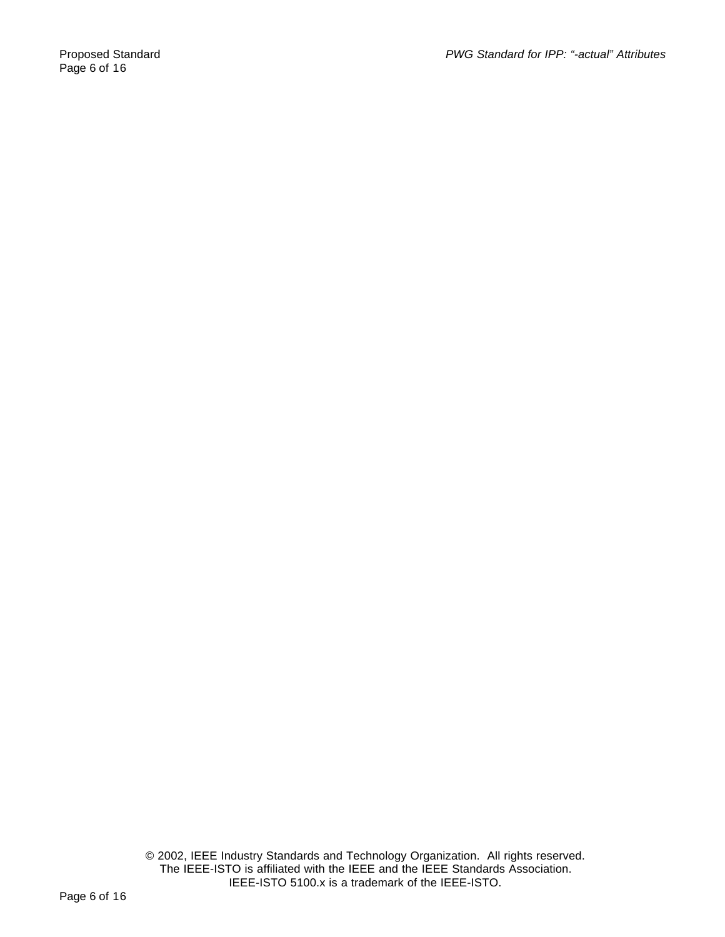Page 6 of 16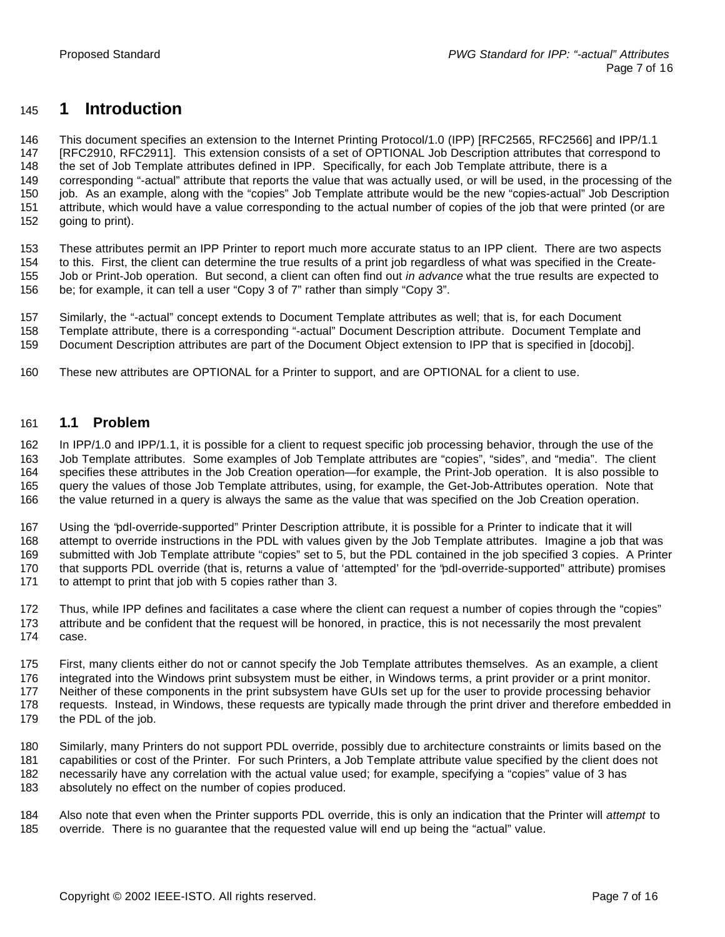## **1 Introduction**

 This document specifies an extension to the Internet Printing Protocol/1.0 (IPP) [RFC2565, RFC2566] and IPP/1.1 [RFC2910, RFC2911]. This extension consists of a set of OPTIONAL Job Description attributes that correspond to the set of Job Template attributes defined in IPP. Specifically, for each Job Template attribute, there is a corresponding "-actual" attribute that reports the value that was actually used, or will be used, in the processing of the job. As an example, along with the "copies" Job Template attribute would be the new "copies-actual" Job Description attribute, which would have a value corresponding to the actual number of copies of the job that were printed (or are going to print).

 These attributes permit an IPP Printer to report much more accurate status to an IPP client. There are two aspects to this. First, the client can determine the true results of a print job regardless of what was specified in the Create- Job or Print-Job operation. But second, a client can often find out *in advance* what the true results are expected to be; for example, it can tell a user "Copy 3 of 7" rather than simply "Copy 3".

Similarly, the "-actual" concept extends to Document Template attributes as well; that is, for each Document

Template attribute, there is a corresponding "-actual" Document Description attribute. Document Template and

Document Description attributes are part of the Document Object extension to IPP that is specified in [docobj].

These new attributes are OPTIONAL for a Printer to support, and are OPTIONAL for a client to use.

#### **1.1 Problem**

 In IPP/1.0 and IPP/1.1, it is possible for a client to request specific job processing behavior, through the use of the Job Template attributes. Some examples of Job Template attributes are "copies", "sides", and "media". The client specifies these attributes in the Job Creation operation—for example, the Print-Job operation. It is also possible to query the values of those Job Template attributes, using, for example, the Get-Job-Attributes operation. Note that the value returned in a query is always the same as the value that was specified on the Job Creation operation.

 Using the "pdl-override-supported" Printer Description attribute, it is possible for a Printer to indicate that it will attempt to override instructions in the PDL with values given by the Job Template attributes. Imagine a job that was submitted with Job Template attribute "copies" set to 5, but the PDL contained in the job specified 3 copies. A Printer that supports PDL override (that is, returns a value of 'attempted' for the "pdl-override-supported" attribute) promises to attempt to print that job with 5 copies rather than 3.

 Thus, while IPP defines and facilitates a case where the client can request a number of copies through the "copies" attribute and be confident that the request will be honored, in practice, this is not necessarily the most prevalent case.

 First, many clients either do not or cannot specify the Job Template attributes themselves. As an example, a client integrated into the Windows print subsystem must be either, in Windows terms, a print provider or a print monitor. Neither of these components in the print subsystem have GUIs set up for the user to provide processing behavior requests. Instead, in Windows, these requests are typically made through the print driver and therefore embedded in the PDL of the job.

 Similarly, many Printers do not support PDL override, possibly due to architecture constraints or limits based on the capabilities or cost of the Printer. For such Printers, a Job Template attribute value specified by the client does not necessarily have any correlation with the actual value used; for example, specifying a "copies" value of 3 has absolutely no effect on the number of copies produced.

 Also note that even when the Printer supports PDL override, this is only an indication that the Printer will *attempt* to override. There is no guarantee that the requested value will end up being the "actual" value.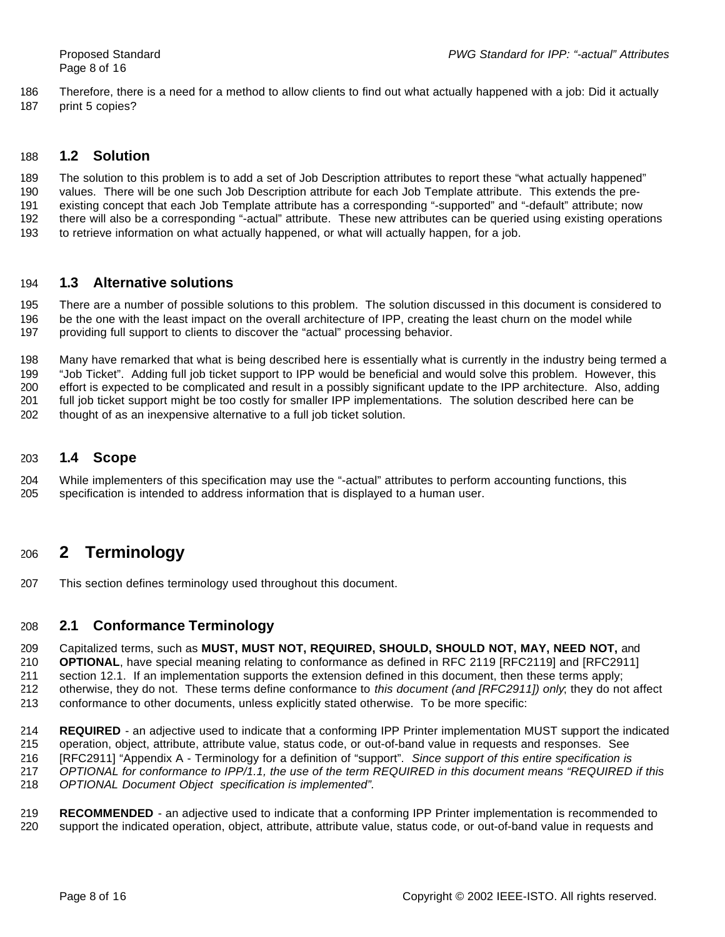Page 8 of 16

 Therefore, there is a need for a method to allow clients to find out what actually happened with a job: Did it actually print 5 copies?

#### **1.2 Solution**

 The solution to this problem is to add a set of Job Description attributes to report these "what actually happened" values. There will be one such Job Description attribute for each Job Template attribute. This extends the pre- existing concept that each Job Template attribute has a corresponding "-supported" and "-default" attribute; now there will also be a corresponding "-actual" attribute. These new attributes can be queried using existing operations to retrieve information on what actually happened, or what will actually happen, for a job.

## **1.3 Alternative solutions**

 There are a number of possible solutions to this problem. The solution discussed in this document is considered to be the one with the least impact on the overall architecture of IPP, creating the least churn on the model while providing full support to clients to discover the "actual" processing behavior.

 Many have remarked that what is being described here is essentially what is currently in the industry being termed a "Job Ticket". Adding full job ticket support to IPP would be beneficial and would solve this problem. However, this effort is expected to be complicated and result in a possibly significant update to the IPP architecture. Also, adding full job ticket support might be too costly for smaller IPP implementations. The solution described here can be thought of as an inexpensive alternative to a full job ticket solution.

#### **1.4 Scope**

 While implementers of this specification may use the "-actual" attributes to perform accounting functions, this specification is intended to address information that is displayed to a human user.

# **2 Terminology**

This section defines terminology used throughout this document.

#### **2.1 Conformance Terminology**

Capitalized terms, such as **MUST, MUST NOT, REQUIRED, SHOULD, SHOULD NOT, MAY, NEED NOT,** and

**OPTIONAL**, have special meaning relating to conformance as defined in RFC 2119 [RFC2119] and [RFC2911]

section 12.1. If an implementation supports the extension defined in this document, then these terms apply;

otherwise, they do not. These terms define conformance to *this document (and [RFC2911]) only*; they do not affect

conformance to other documents, unless explicitly stated otherwise. To be more specific:

**REQUIRED** - an adjective used to indicate that a conforming IPP Printer implementation MUST support the indicated

operation, object, attribute, attribute value, status code, or out-of-band value in requests and responses. See

 [RFC2911] "Appendix A - Terminology for a definition of "support". *Since support of this entire specification is OPTIONAL for conformance to IPP/1.1, the use of the term REQUIRED in this document means "REQUIRED if this*

*OPTIONAL Document Object specification is implemented".*

 **RECOMMENDED** - an adjective used to indicate that a conforming IPP Printer implementation is recommended to support the indicated operation, object, attribute, attribute value, status code, or out-of-band value in requests and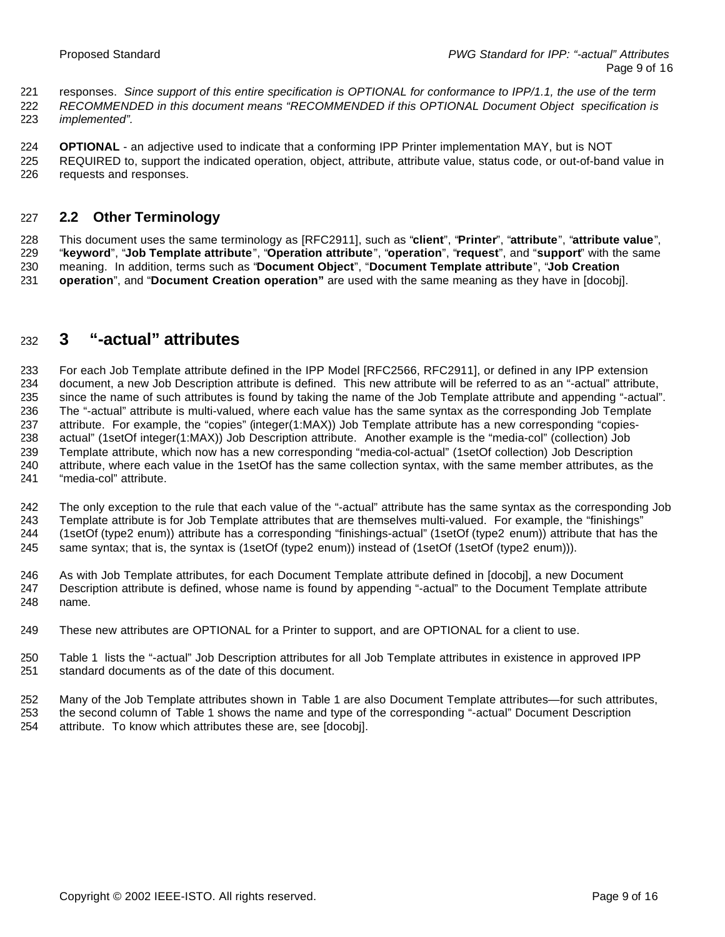responses. *Since support of this entire specification is OPTIONAL for conformance to IPP/1.1, the use of the term RECOMMENDED in this document means "RECOMMENDED if this OPTIONAL Document Object specification is implemented".*

 **OPTIONAL** - an adjective used to indicate that a conforming IPP Printer implementation MAY, but is NOT REQUIRED to, support the indicated operation, object, attribute, attribute value, status code, or out-of-band value in requests and responses.

## **2.2 Other Terminology**

 This document uses the same terminology as [RFC2911], such as "**client**", "**Printer**", "**attribute**", "**attribute value**", "**keyword**", "**Job Template attribute**", "**Operation attribute**", "**operation**", "**request**", and "**support**" with the same meaning. In addition, terms such as "**Document Object**", "**Document Template attribute**", "**Job Creation operation**", and "**Document Creation operation"** are used with the same meaning as they have in [docobj].

# **3 "-actual" attributes**

 For each Job Template attribute defined in the IPP Model [RFC2566, RFC2911], or defined in any IPP extension document, a new Job Description attribute is defined. This new attribute will be referred to as an "-actual" attribute, since the name of such attributes is found by taking the name of the Job Template attribute and appending "-actual". The "-actual" attribute is multi-valued, where each value has the same syntax as the corresponding Job Template attribute. For example, the "copies" (integer(1:MAX)) Job Template attribute has a new corresponding "copies- actual" (1setOf integer(1:MAX)) Job Description attribute. Another example is the "media-col" (collection) Job Template attribute, which now has a new corresponding "media-col-actual" (1setOf collection) Job Description attribute, where each value in the 1setOf has the same collection syntax, with the same member attributes, as the "media-col" attribute.

242 The only exception to the rule that each value of the "-actual" attribute has the same syntax as the corresponding Job<br>243 Template attribute is for Job Template attributes that are themselves multi-valued. For example Template attribute is for Job Template attributes that are themselves multi-valued. For example, the "finishings" (1setOf (type2 enum)) attribute has a corresponding "finishings-actual" (1setOf (type2 enum)) attribute that has the same syntax; that is, the syntax is (1setOf (type2 enum)) instead of (1setOf (1setOf (type2 enum))).

 As with Job Template attributes, for each Document Template attribute defined in [docobj], a new Document Description attribute is defined, whose name is found by appending "-actual" to the Document Template attribute name.

These new attributes are OPTIONAL for a Printer to support, and are OPTIONAL for a client to use.

 Table 1 lists the "-actual" Job Description attributes for all Job Template attributes in existence in approved IPP standard documents as of the date of this document.

 Many of the Job Template attributes shown in Table 1 are also Document Template attributes—for such attributes, the second column of Table 1 shows the name and type of the corresponding "-actual" Document Description attribute. To know which attributes these are, see [docobj].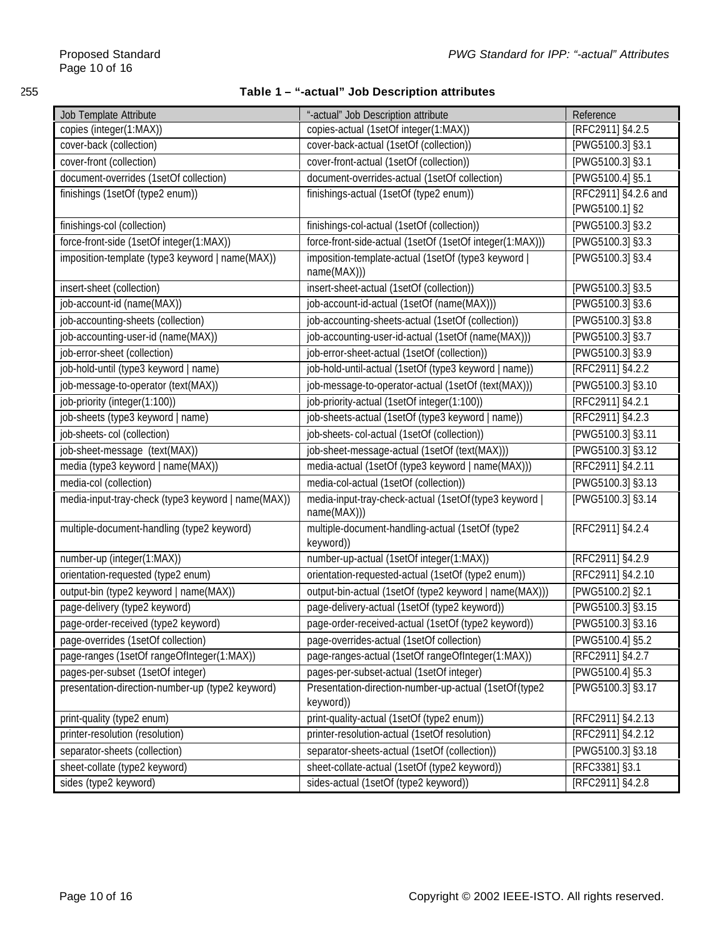| 255 | Table 1 – "-actual" Job Description attributes |
|-----|------------------------------------------------|
|-----|------------------------------------------------|

| Job Template Attribute                             | "-actual" Job Description attribute                                  | Reference            |
|----------------------------------------------------|----------------------------------------------------------------------|----------------------|
| copies (integer(1:MAX))                            | copies-actual (1setOf integer(1:MAX))                                | [RFC2911] §4.2.5     |
| cover-back (collection)                            | cover-back-actual (1setOf (collection))                              | [PWG5100.3] §3.1     |
| cover-front (collection)                           | cover-front-actual (1setOf (collection))                             | [PWG5100.3] §3.1     |
| document-overrides (1setOf collection)             | document-overrides-actual (1setOf collection)                        | [PWG5100.4] §5.1     |
| finishings (1setOf (type2 enum))                   | finishings-actual (1setOf (type2 enum))                              | [RFC2911] §4.2.6 and |
|                                                    |                                                                      | [PWG5100.1] §2       |
| finishings-col (collection)                        | finishings-col-actual (1setOf (collection))                          | [PWG5100.3] §3.2     |
| force-front-side (1setOf integer(1:MAX))           | force-front-side-actual (1setOf (1setOf integer(1:MAX)))             | [PWG5100.3] §3.3     |
| imposition-template (type3 keyword   name(MAX))    | imposition-template-actual (1setOf (type3 keyword)<br>name(MAX)))    | [PWG5100.3] §3.4     |
| insert-sheet (collection)                          | insert-sheet-actual (1setOf (collection))                            | [PWG5100.3] §3.5     |
| job-account-id (name(MAX))                         | job-account-id-actual (1setOf (name(MAX)))                           | [PWG5100.3] §3.6     |
| job-accounting-sheets (collection)                 | job-accounting-sheets-actual (1setOf (collection))                   | [PWG5100.3] §3.8     |
| job-accounting-user-id (name(MAX))                 | job-accounting-user-id-actual (1setOf (name(MAX)))                   | [PWG5100.3] §3.7     |
| job-error-sheet (collection)                       | job-error-sheet-actual (1setOf (collection))                         | [PWG5100.3] §3.9     |
| job-hold-until (type3 keyword   name)              | job-hold-until-actual (1setOf (type3 keyword   name))                | [RFC2911] §4.2.2     |
| job-message-to-operator (text(MAX))                | job-message-to-operator-actual (1setOf (text(MAX)))                  | [PWG5100.3] §3.10    |
| job-priority (integer(1:100))                      | job-priority-actual (1setOf integer(1:100))                          | [RFC2911] §4.2.1     |
| job-sheets (type3 keyword   name)                  | job-sheets-actual (1setOf (type3 keyword   name))                    | [RFC2911] §4.2.3     |
| job-sheets-col (collection)                        | job-sheets-col-actual (1setOf (collection))                          | [PWG5100.3] §3.11    |
| job-sheet-message (text(MAX))                      | job-sheet-message-actual (1setOf (text(MAX)))                        | [PWG5100.3] §3.12    |
| media (type3 keyword   name(MAX))                  | media-actual (1setOf (type3 keyword   name(MAX)))                    | [RFC2911] §4.2.11    |
| media-col (collection)                             | media-col-actual (1setOf (collection))                               | [PWG5100.3] §3.13    |
| media-input-tray-check (type3 keyword   name(MAX)) | media-input-tray-check-actual (1setOf(type3 keyword  <br>name(MAX))) | [PWG5100.3] §3.14    |
| multiple-document-handling (type2 keyword)         | multiple-document-handling-actual (1setOf (type2<br>keyword))        | [RFC2911] §4.2.4     |
| number-up (integer(1:MAX))                         | number-up-actual (1setOf integer(1:MAX))                             | [RFC2911] §4.2.9     |
| orientation-requested (type2 enum)                 | orientation-requested-actual (1setOf (type2 enum))                   | [RFC2911] §4.2.10    |
| output-bin (type2 keyword   name(MAX))             | output-bin-actual (1setOf (type2 keyword   name(MAX)))               | [PWG5100.2] §2.1     |
| page-delivery (type2 keyword)                      | page-delivery-actual (1setOf (type2 keyword))                        | [PWG5100.3] §3.15    |
| page-order-received (type2 keyword)                | page-order-received-actual (1setOf (type2 keyword))                  | [PWG5100.3] §3.16    |
| page-overrides (1setOf collection)                 | page-overrides-actual (1setOf collection)                            | [PWG5100.4] §5.2     |
| page-ranges (1setOf rangeOfInteger(1:MAX))         | page-ranges-actual (1setOf rangeOfInteger(1:MAX))                    | [RFC2911] §4.2.7     |
| pages-per-subset (1setOf integer)                  | pages-per-subset-actual (1setOf integer)                             | [PWG5100.4] §5.3     |
| presentation-direction-number-up (type2 keyword)   | Presentation-direction-number-up-actual (1setOf(type2<br>keyword))   | [PWG5100.3] §3.17    |
| print-quality (type2 enum)                         | print-quality-actual (1setOf (type2 enum))                           | [RFC2911] §4.2.13    |
| printer-resolution (resolution)                    | printer-resolution-actual (1setOf resolution)                        | [RFC2911] §4.2.12    |
| separator-sheets (collection)                      | separator-sheets-actual (1setOf (collection))                        | [PWG5100.3] §3.18    |
| sheet-collate (type2 keyword)                      | sheet-collate-actual (1setOf (type2 keyword))                        | [RFC3381] §3.1       |
| sides (type2 keyword)                              | sides-actual (1setOf (type2 keyword))                                | [RFC2911] §4.2.8     |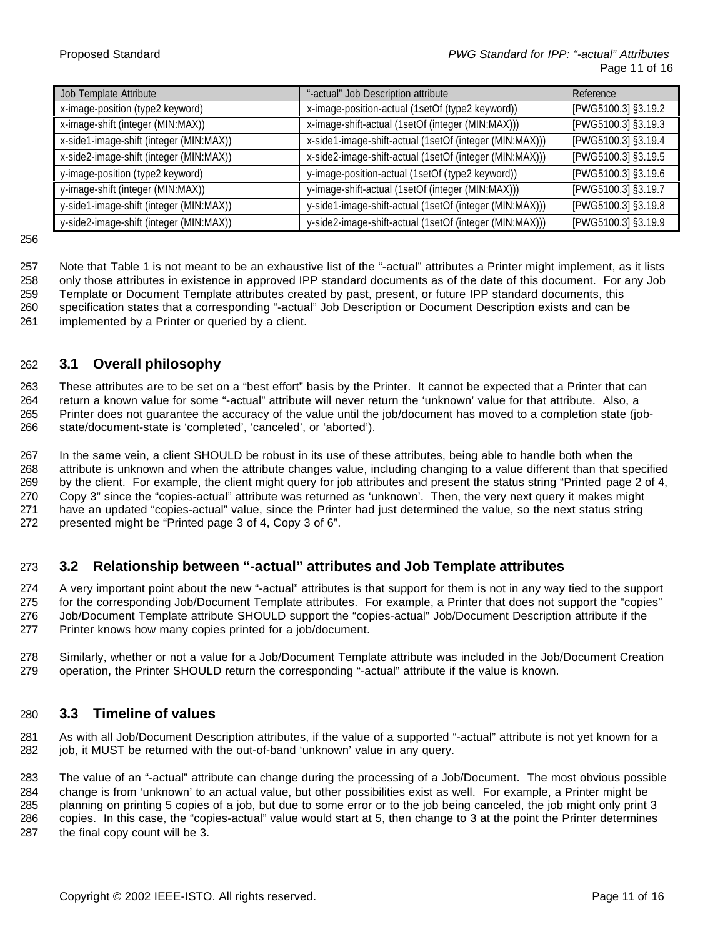| Job Template Attribute                  | "-actual" Job Description attribute                     | Reference           |
|-----------------------------------------|---------------------------------------------------------|---------------------|
| x-image-position (type2 keyword)        | x-image-position-actual (1setOf (type2 keyword))        | [PWG5100.3] §3.19.2 |
| x-image-shift (integer (MIN:MAX))       | x-image-shift-actual (1setOf (integer (MIN:MAX)))       | [PWG5100.3] §3.19.3 |
| x-side1-image-shift (integer (MIN:MAX)) | x-side1-image-shift-actual (1setOf (integer (MIN:MAX))) | [PWG5100.3] §3.19.4 |
| x-side2-image-shift (integer (MIN:MAX)) | x-side2-image-shift-actual (1setOf (integer (MIN:MAX))) | [PWG5100.3] §3.19.5 |
| y-image-position (type2 keyword)        | y-image-position-actual (1setOf (type2 keyword))        | [PWG5100.3] §3.19.6 |
| y-image-shift (integer (MIN:MAX))       | y-image-shift-actual (1setOf (integer (MIN:MAX)))       | [PWG5100.3] §3.19.7 |
| y-side1-image-shift (integer (MIN:MAX)) | y-side1-image-shift-actual (1setOf (integer (MIN:MAX))) | [PWG5100.3] §3.19.8 |
| y-side2-image-shift (integer (MIN:MAX)) | y-side2-image-shift-actual (1setOf (integer (MIN:MAX))) | [PWG5100.3] §3.19.9 |

 Note that Table 1 is not meant to be an exhaustive list of the "-actual" attributes a Printer might implement, as it lists only those attributes in existence in approved IPP standard documents as of the date of this document. For any Job Template or Document Template attributes created by past, present, or future IPP standard documents, this specification states that a corresponding "-actual" Job Description or Document Description exists and can be implemented by a Printer or queried by a client.

## **3.1 Overall philosophy**

 These attributes are to be set on a "best effort" basis by the Printer. It cannot be expected that a Printer that can 264 return a known value for some "-actual" attribute will never return the 'unknown' value for that attribute. Also, a<br>265 Printer does not quarantee the accuracy of the value until the iob/document has moved to a complet Printer does not guarantee the accuracy of the value until the job/document has moved to a completion state (job-state/document-state is 'completed', 'canceled', or 'aborted').

 In the same vein, a client SHOULD be robust in its use of these attributes, being able to handle both when the attribute is unknown and when the attribute changes value, including changing to a value different than that specified by the client. For example, the client might query for job attributes and present the status string "Printed page 2 of 4, Copy 3" since the "copies-actual" attribute was returned as 'unknown'. Then, the very next query it makes might have an updated "copies-actual" value, since the Printer had just determined the value, so the next status string presented might be "Printed page 3 of 4, Copy 3 of 6".

## **3.2 Relationship between "-actual" attributes and Job Template attributes**

 A very important point about the new "-actual" attributes is that support for them is not in any way tied to the support for the corresponding Job/Document Template attributes. For example, a Printer that does not support the "copies" Job/Document Template attribute SHOULD support the "copies-actual" Job/Document Description attribute if the Printer knows how many copies printed for a job/document.

 Similarly, whether or not a value for a Job/Document Template attribute was included in the Job/Document Creation operation, the Printer SHOULD return the corresponding "-actual" attribute if the value is known.

## **3.3 Timeline of values**

 As with all Job/Document Description attributes, if the value of a supported "-actual" attribute is not yet known for a job, it MUST be returned with the out-of-band 'unknown' value in any query.

 The value of an "-actual" attribute can change during the processing of a Job/Document. The most obvious possible change is from 'unknown' to an actual value, but other possibilities exist as well. For example, a Printer might be planning on printing 5 copies of a job, but due to some error or to the job being canceled, the job might only print 3 copies. In this case, the "copies-actual" value would start at 5, then change to 3 at the point the Printer determines the final copy count will be 3.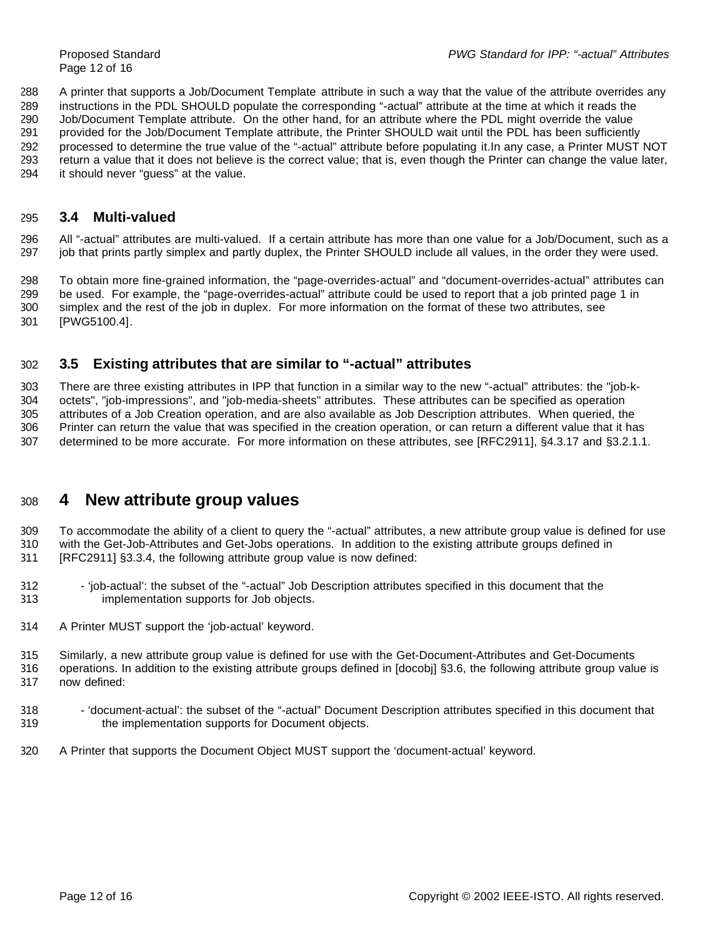Page 12 of 16

 A printer that supports a Job/Document Template attribute in such a way that the value of the attribute overrides any instructions in the PDL SHOULD populate the corresponding "-actual" attribute at the time at which it reads the Job/Document Template attribute. On the other hand, for an attribute where the PDL might override the value provided for the Job/Document Template attribute, the Printer SHOULD wait until the PDL has been sufficiently processed to determine the true value of the "-actual" attribute before populating it.In any case, a Printer MUST NOT return a value that it does not believe is the correct value; that is, even though the Printer can change the value later, it should never "guess" at the value.

#### **3.4 Multi-valued**

 All "-actual" attributes are multi-valued. If a certain attribute has more than one value for a Job/Document, such as a job that prints partly simplex and partly duplex, the Printer SHOULD include all values, in the order they were used.

 To obtain more fine-grained information, the "page-overrides-actual" and "document-overrides-actual" attributes can be used. For example, the "page-overrides-actual" attribute could be used to report that a job printed page 1 in simplex and the rest of the job in duplex. For more information on the format of these two attributes, see [PWG5100.4].

## **3.5 Existing attributes that are similar to "-actual" attributes**

 There are three existing attributes in IPP that function in a similar way to the new "-actual" attributes: the "job-k- octets", "job-impressions", and "job-media-sheets" attributes. These attributes can be specified as operation attributes of a Job Creation operation, and are also available as Job Description attributes. When queried, the Printer can return the value that was specified in the creation operation, or can return a different value that it has determined to be more accurate. For more information on these attributes, see [RFC2911], §4.3.17 and §3.2.1.1.

## **4 New attribute group values**

 To accommodate the ability of a client to query the "-actual" attributes, a new attribute group value is defined for use with the Get-Job-Attributes and Get-Jobs operations. In addition to the existing attribute groups defined in [RFC2911] §3.3.4, the following attribute group value is now defined:

- 312 'job-actual': the subset of the "-actual" Job Description attributes specified in this document that the implementation supports for Job objects.
- A Printer MUST support the 'job-actual' keyword.
- Similarly, a new attribute group value is defined for use with the Get-Document-Attributes and Get-Documents operations. In addition to the existing attribute groups defined in [docobj] §3.6, the following attribute group value is now defined:
- 318 'document-actual': the subset of the "-actual" Document Description attributes specified in this document that the implementation supports for Document objects.
- A Printer that supports the Document Object MUST support the 'document-actual' keyword.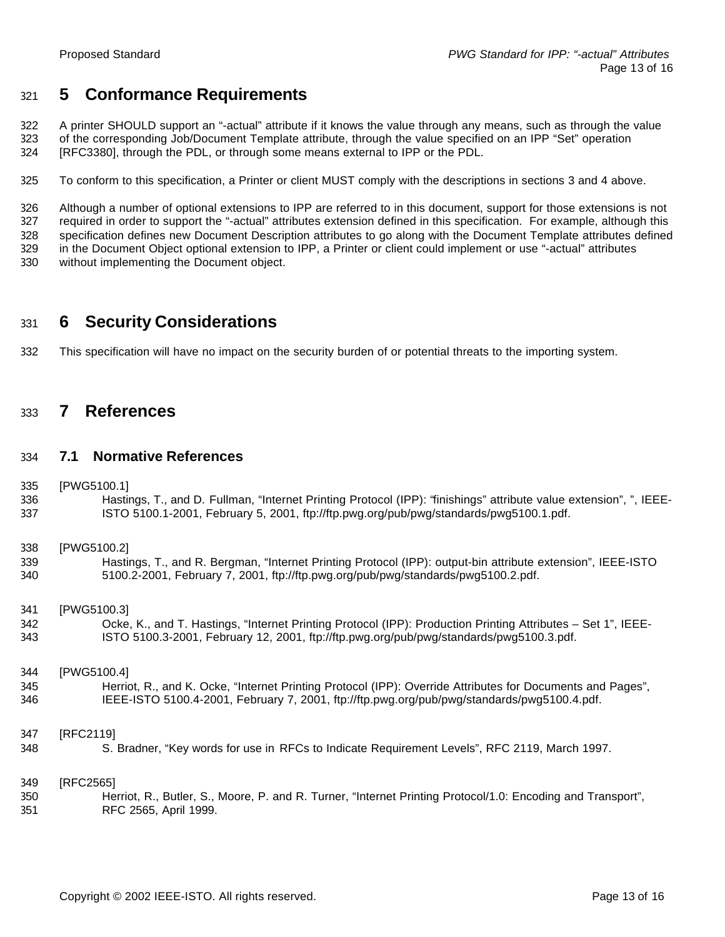# **5 Conformance Requirements**

 A printer SHOULD support an "-actual" attribute if it knows the value through any means, such as through the value of the corresponding Job/Document Template attribute, through the value specified on an IPP "Set" operation [RFC3380], through the PDL, or through some means external to IPP or the PDL.

To conform to this specification, a Printer or client MUST comply with the descriptions in sections 3 and 4 above.

 Although a number of optional extensions to IPP are referred to in this document, support for those extensions is not required in order to support the "-actual" attributes extension defined in this specification. For example, although this specification defines new Document Description attributes to go along with the Document Template attributes defined in the Document Object optional extension to IPP, a Printer or client could implement or use "-actual" attributes without implementing the Document object.

# **6 Security Considerations**

This specification will have no impact on the security burden of or potential threats to the importing system.

# **7 References**

## **7.1 Normative References**

- [PWG5100.1]
- Hastings, T., and D. Fullman, "Internet Printing Protocol (IPP): "finishings" attribute value extension", ", IEEE-ISTO 5100.1-2001, February 5, 2001, ftp://ftp.pwg.org/pub/pwg/standards/pwg5100.1.pdf.
- [PWG5100.2] Hastings, T., and R. Bergman, "Internet Printing Protocol (IPP): output-bin attribute extension", IEEE-ISTO 5100.2-2001, February 7, 2001, ftp://ftp.pwg.org/pub/pwg/standards/pwg5100.2.pdf.
- [PWG5100.3] Ocke, K., and T. Hastings, "Internet Printing Protocol (IPP): Production Printing Attributes – Set 1", IEEE-ISTO 5100.3-2001, February 12, 2001, ftp://ftp.pwg.org/pub/pwg/standards/pwg5100.3.pdf.

 [PWG5100.4] Herriot, R., and K. Ocke, "Internet Printing Protocol (IPP): Override Attributes for Documents and Pages", IEEE-ISTO 5100.4-2001, February 7, 2001, ftp://ftp.pwg.org/pub/pwg/standards/pwg5100.4.pdf.

[RFC2119]

S. Bradner, "Key words for use in RFCs to Indicate Requirement Levels", RFC 2119, March 1997.

[RFC2565]

 Herriot, R., Butler, S., Moore, P. and R. Turner, "Internet Printing Protocol/1.0: Encoding and Transport", RFC 2565, April 1999.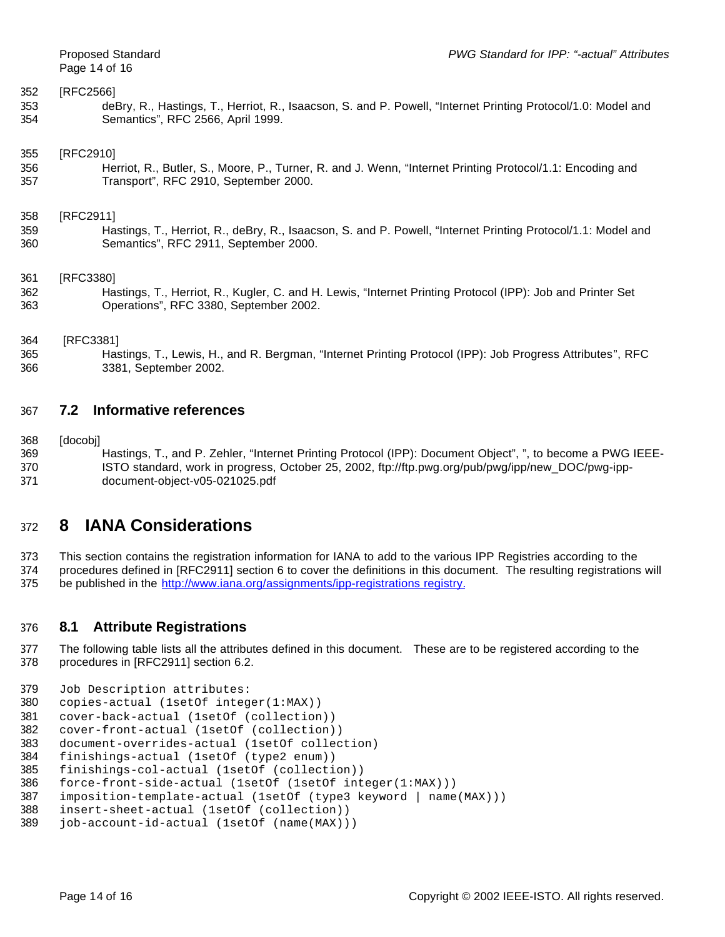Page 14 of 16

#### [RFC2566]

 deBry, R., Hastings, T., Herriot, R., Isaacson, S. and P. Powell, "Internet Printing Protocol/1.0: Model and Semantics", RFC 2566, April 1999.

#### [RFC2910]

356 Herriot, R., Butler, S., Moore, P., Turner, R. and J. Wenn, "Internet Printing Protocol/1.1: Encoding and Transport", RFC 2910, September 2000.

#### [RFC2911]

 Hastings, T., Herriot, R., deBry, R., Isaacson, S. and P. Powell, "Internet Printing Protocol/1.1: Model and Semantics", RFC 2911, September 2000.

#### [RFC3380]

 Hastings, T., Herriot, R., Kugler, C. and H. Lewis, "Internet Printing Protocol (IPP): Job and Printer Set Operations", RFC 3380, September 2002.

#### 364 [RFC3381]

 Hastings, T., Lewis, H., and R. Bergman, "Internet Printing Protocol (IPP): Job Progress Attributes", RFC 3381, September 2002.

#### **7.2 Informative references**

[docobj]

 Hastings, T., and P. Zehler, "Internet Printing Protocol (IPP): Document Object", ", to become a PWG IEEE- ISTO standard, work in progress, October 25, 2002, ftp://ftp.pwg.org/pub/pwg/ipp/new\_DOC/pwg-ipp-document-object-v05-021025.pdf

# **8 IANA Considerations**

 This section contains the registration information for IANA to add to the various IPP Registries according to the procedures defined in [RFC2911] section 6 to cover the definitions in this document. The resulting registrations will be published in the http://www.iana.org/assignments/ipp-registrations registry.

#### **8.1 Attribute Registrations**

 The following table lists all the attributes defined in this document. These are to be registered according to the procedures in [RFC2911] section 6.2.

```
379 Job Description attributes:
```

```
380 copies-actual (1setOf integer(1:MAX))
```

```
381 cover-back-actual (1setOf (collection))
```

```
382 cover-front-actual (1setOf (collection))
```

```
383 document-overrides-actual (1setOf collection)
```

```
384 finishings-actual (1setOf (type2 enum))
```

```
385 finishings-col-actual (1setOf (collection))
```

```
386 force-front-side-actual (1setOf (1setOf integer(1:MAX)))
387 imposition-template-actual (1setOf (type3 keyword | name(MAX)))
```

```
388 insert-sheet-actual (1setOf (collection))
```

```
389 job-account-id-actual (1setOf (name(MAX)))
```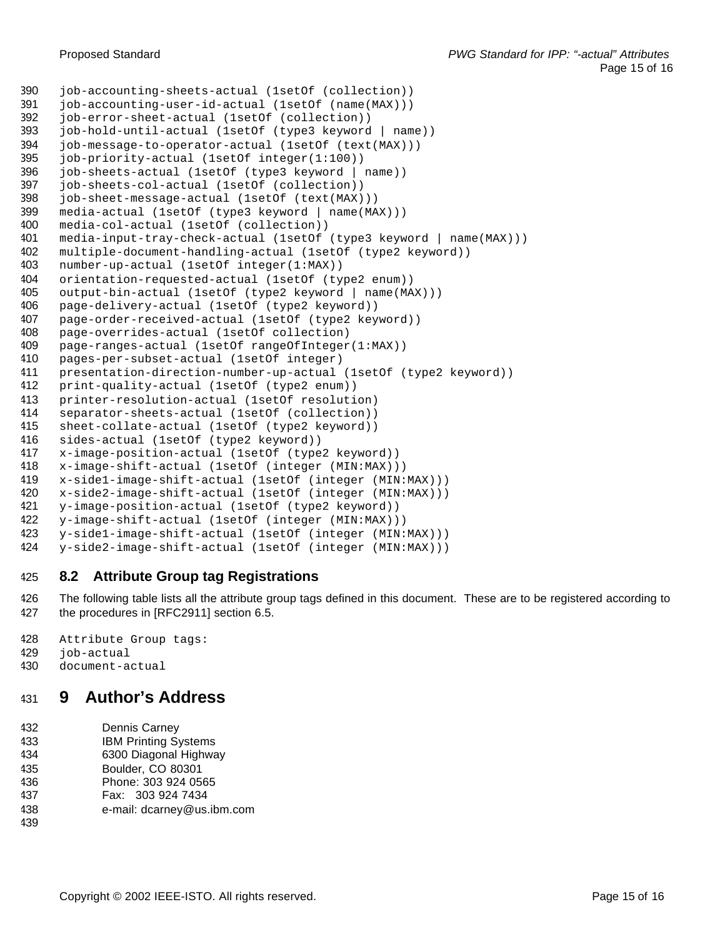```
390 job-accounting-sheets-actual (1setOf (collection))
     job-accounting-user-id-actual (1setOf (name(MAX)))
392 job-error-sheet-actual (1setOf (collection))
393 job-hold-until-actual (1setOf (type3 keyword | name))
394 job-message-to-operator-actual (1setOf (text(MAX)))
395 job-priority-actual (1setOf integer(1:100))
396 job-sheets-actual (1setOf (type3 keyword | name))
397 job-sheets-col-actual (1setOf (collection))
398 job-sheet-message-actual (1setOf (text(MAX)))
399 media-actual (1setOf (type3 keyword | name(MAX)))
400 media-col-actual (1setOf (collection))
401 media-input-tray-check-actual (1setOf (type3 keyword | name(MAX)))
402 multiple-document-handling-actual (1setOf (type2 keyword))
403 number-up-actual (1setOf integer(1:MAX))
404 orientation-requested-actual (1setOf (type2 enum))
405 output-bin-actual (1setOf (type2 keyword | name(MAX)))
406 page-delivery-actual (1setOf (type2 keyword))
407 page-order-received-actual (1setOf (type2 keyword))
     408 page-overrides-actual (1setOf collection)
409 page-ranges-actual (1setOf rangeOfInteger(1:MAX))
410 pages-per-subset-actual (1setOf integer)
411 presentation-direction-number-up-actual (1setOf (type2 keyword))
412 print-quality-actual (1setOf (type2 enum))
413 printer-resolution-actual (1setOf resolution)
414 separator-sheets-actual (1setOf (collection))
415 sheet-collate-actual (1setOf (type2 keyword))
416 sides-actual (1setOf (type2 keyword))
417 x-image-position-actual (1setOf (type2 keyword))
418 x-image-shift-actual (1setOf (integer (MIN:MAX)))
419 x-side1-image-shift-actual (1setOf (integer (MIN:MAX)))
420 x-side2-image-shift-actual (1setOf (integer (MIN:MAX)))
421 y-image-position-actual (1setOf (type2 keyword))
     y-image-shift-actual (1setOf (integer (MIN:MAX)))
423 y-side1-image-shift-actual (1setOf (integer (MIN:MAX)))
424 y-side2-image-shift-actual (1setOf (integer (MIN:MAX)))
```
## **8.2 Attribute Group tag Registrations**

 The following table lists all the attribute group tags defined in this document. These are to be registered according to the procedures in [RFC2911] section 6.5.

 Attribute Group tags: job-actual document-actual

# **9 Author's Address**

- Dennis Carney
- IBM Printing Systems
- 6300 Diagonal Highway
- Boulder, CO 80301
- Phone: 303 924 0565
- Fax: 303 924 7434
- e-mail: dcarney@us.ibm.com